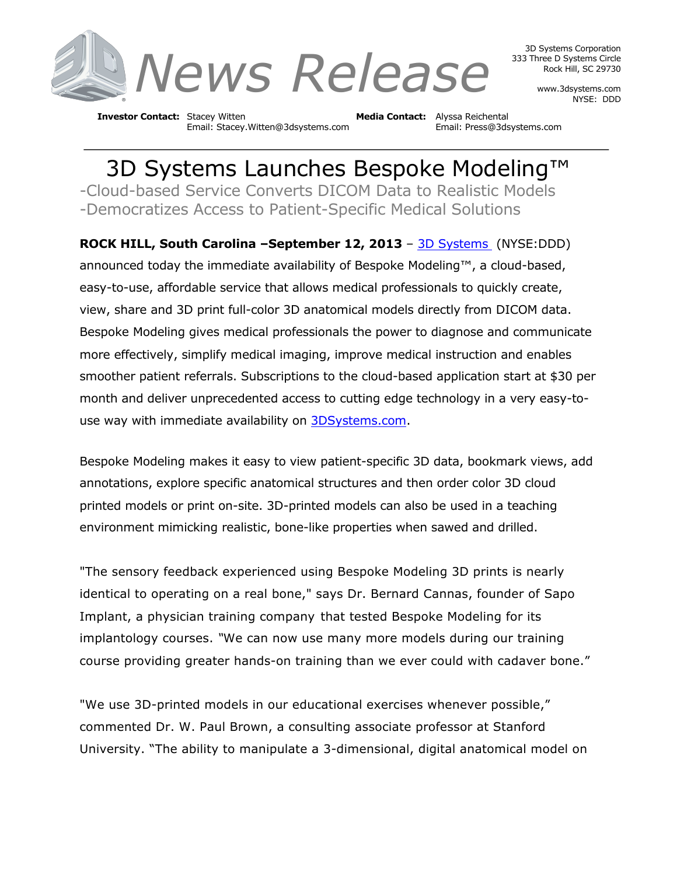

3D Systems Corporation 333 Three D Systems Circle Rock Hill, SC 29730

> www.3dsystems.com NYSE: DDD

**Investor Contact:** Stacey Witten **Media Contact:** Alyssa Reichental Email: Stacey.Witten@3dsystems.com Email: Press@3dsystems.com

3D Systems Launches Bespoke Modeling™ -Cloud-based Service Converts DICOM Data to Realistic Models -Democratizes Access to Patient-Specific Medical Solutions

**ROCK HILL, South Carolina –September 12, 2013** – 3D Systems (NYSE:DDD) announced today the immediate availability of Bespoke Modeling™, a cloud-based, easy-to-use, affordable service that allows medical professionals to quickly create, view, share and 3D print full-color 3D anatomical models directly from DICOM data. Bespoke Modeling gives medical professionals the power to diagnose and communicate more effectively, simplify medical imaging, improve medical instruction and enables smoother patient referrals. Subscriptions to the cloud-based application start at \$30 per month and deliver unprecedented access to cutting edge technology in a very easy-touse way with immediate availability on 3DSystems.com.

Bespoke Modeling makes it easy to view patient-specific 3D data, bookmark views, add annotations, explore specific anatomical structures and then order color 3D cloud printed models or print on-site. 3D-printed models can also be used in a teaching environment mimicking realistic, bone-like properties when sawed and drilled.

"The sensory feedback experienced using Bespoke Modeling 3D prints is nearly identical to operating on a real bone," says Dr. Bernard Cannas, founder of Sapo Implant, a physician training company that tested Bespoke Modeling for its implantology courses. *"*We can now use many more models during our training course providing greater hands-on training than we ever could with cadaver bone."

"We use 3D-printed models in our educational exercises whenever possible," commented Dr. W. Paul Brown, a consulting associate professor at Stanford University. "The ability to manipulate a 3-dimensional, digital anatomical model on